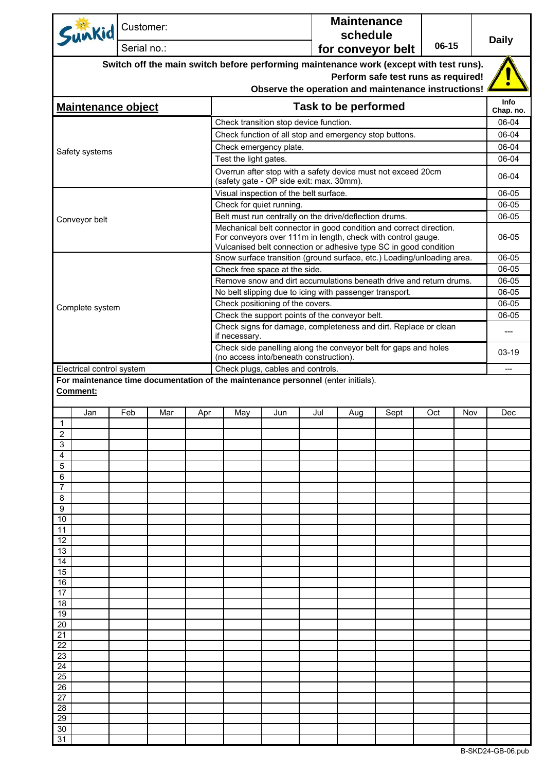| Sunkid Customer:                                                                              | Serial no.:                                                                                                                                         |     |     |                       |                                                                                                                                                                                                        |     | <b>Maintenance</b><br>schedule | for conveyor belt                   | 06-15 |     | <b>Daily</b>       |
|-----------------------------------------------------------------------------------------------|-----------------------------------------------------------------------------------------------------------------------------------------------------|-----|-----|-----------------------|--------------------------------------------------------------------------------------------------------------------------------------------------------------------------------------------------------|-----|--------------------------------|-------------------------------------|-------|-----|--------------------|
|                                                                                               |                                                                                                                                                     |     |     |                       | Switch off the main switch before performing maintenance work (except with test runs).                                                                                                                 |     |                                |                                     |       |     |                    |
|                                                                                               |                                                                                                                                                     |     |     |                       | Observe the operation and maintenance instructions!                                                                                                                                                    |     |                                | Perform safe test runs as required! |       |     |                    |
| <b>Maintenance object</b>                                                                     |                                                                                                                                                     |     |     |                       |                                                                                                                                                                                                        |     | Task to be performed           |                                     |       |     | Info               |
|                                                                                               |                                                                                                                                                     |     |     |                       | Check transition stop device function.                                                                                                                                                                 |     |                                |                                     |       |     | Chap. no.<br>06-04 |
|                                                                                               |                                                                                                                                                     |     |     |                       | Check function of all stop and emergency stop buttons.                                                                                                                                                 |     |                                |                                     |       |     | 06-04              |
|                                                                                               |                                                                                                                                                     |     |     |                       | Check emergency plate.                                                                                                                                                                                 |     |                                |                                     |       |     | 06-04              |
| Safety systems                                                                                |                                                                                                                                                     |     |     | Test the light gates. |                                                                                                                                                                                                        |     |                                |                                     |       |     | 06-04              |
|                                                                                               |                                                                                                                                                     |     |     |                       | Overrun after stop with a safety device must not exceed 20cm<br>(safety gate - OP side exit: max. 30mm).                                                                                               |     |                                |                                     |       |     | 06-04              |
|                                                                                               |                                                                                                                                                     |     |     |                       | Visual inspection of the belt surface.                                                                                                                                                                 |     |                                |                                     |       |     | 06-05              |
|                                                                                               |                                                                                                                                                     |     |     |                       | Check for quiet running.                                                                                                                                                                               |     |                                |                                     |       |     | 06-05              |
| Conveyor belt                                                                                 |                                                                                                                                                     |     |     |                       | Belt must run centrally on the drive/deflection drums.                                                                                                                                                 |     |                                |                                     |       |     | 06-05              |
|                                                                                               |                                                                                                                                                     |     |     |                       | Mechanical belt connector in good condition and correct direction.<br>For conveyors over 111m in length, check with control gauge.<br>Vulcanised belt connection or adhesive type SC in good condition |     |                                |                                     |       |     | 06-05              |
|                                                                                               |                                                                                                                                                     |     |     |                       | Snow surface transition (ground surface, etc.) Loading/unloading area.                                                                                                                                 |     |                                |                                     |       |     | 06-05              |
|                                                                                               |                                                                                                                                                     |     |     |                       | Check free space at the side.                                                                                                                                                                          |     |                                |                                     |       |     | 06-05              |
|                                                                                               |                                                                                                                                                     |     |     |                       | Remove snow and dirt accumulations beneath drive and return drums.                                                                                                                                     |     |                                |                                     |       |     | 06-05              |
|                                                                                               |                                                                                                                                                     |     |     |                       | No belt slipping due to icing with passenger transport.                                                                                                                                                |     |                                |                                     |       |     | 06-05              |
| Complete system                                                                               |                                                                                                                                                     |     |     |                       | Check positioning of the covers.                                                                                                                                                                       |     |                                |                                     |       |     | 06-05              |
|                                                                                               |                                                                                                                                                     |     |     |                       | Check the support points of the conveyor belt.                                                                                                                                                         |     |                                |                                     |       |     | 06-05              |
|                                                                                               | Check signs for damage, completeness and dirt. Replace or clean<br>if necessary.<br>Check side panelling along the conveyor belt for gaps and holes |     |     |                       |                                                                                                                                                                                                        |     |                                | ---                                 |       |     |                    |
|                                                                                               |                                                                                                                                                     |     |     |                       | (no access into/beneath construction).                                                                                                                                                                 |     |                                |                                     |       |     | $03-19$            |
| Electrical control system                                                                     |                                                                                                                                                     |     |     |                       | Check plugs, cables and controls.                                                                                                                                                                      |     |                                |                                     |       |     |                    |
| For maintenance time documentation of the maintenance personnel (enter initials).<br>Comment: |                                                                                                                                                     |     |     |                       |                                                                                                                                                                                                        |     |                                |                                     |       |     |                    |
| Jan<br>$\mathbf{1}$                                                                           | Feb                                                                                                                                                 | Mar | Apr | May                   | Jun                                                                                                                                                                                                    | Jul | Aug                            | Sept                                | Oct   | Nov | Dec                |
| $\overline{2}$                                                                                |                                                                                                                                                     |     |     |                       |                                                                                                                                                                                                        |     |                                |                                     |       |     |                    |
| 3                                                                                             |                                                                                                                                                     |     |     |                       |                                                                                                                                                                                                        |     |                                |                                     |       |     |                    |
| 4                                                                                             |                                                                                                                                                     |     |     |                       |                                                                                                                                                                                                        |     |                                |                                     |       |     |                    |
| 5<br>6                                                                                        |                                                                                                                                                     |     |     |                       |                                                                                                                                                                                                        |     |                                |                                     |       |     |                    |
| 7                                                                                             |                                                                                                                                                     |     |     |                       |                                                                                                                                                                                                        |     |                                |                                     |       |     |                    |
| 8                                                                                             |                                                                                                                                                     |     |     |                       |                                                                                                                                                                                                        |     |                                |                                     |       |     |                    |
| 9                                                                                             |                                                                                                                                                     |     |     |                       |                                                                                                                                                                                                        |     |                                |                                     |       |     |                    |
| 10<br>11                                                                                      |                                                                                                                                                     |     |     |                       |                                                                                                                                                                                                        |     |                                |                                     |       |     |                    |
| 12                                                                                            |                                                                                                                                                     |     |     |                       |                                                                                                                                                                                                        |     |                                |                                     |       |     |                    |
| 13                                                                                            |                                                                                                                                                     |     |     |                       |                                                                                                                                                                                                        |     |                                |                                     |       |     |                    |
| 14<br>15                                                                                      |                                                                                                                                                     |     |     |                       |                                                                                                                                                                                                        |     |                                |                                     |       |     |                    |
| 16                                                                                            |                                                                                                                                                     |     |     |                       |                                                                                                                                                                                                        |     |                                |                                     |       |     |                    |
| 17                                                                                            |                                                                                                                                                     |     |     |                       |                                                                                                                                                                                                        |     |                                |                                     |       |     |                    |
| 18                                                                                            |                                                                                                                                                     |     |     |                       |                                                                                                                                                                                                        |     |                                |                                     |       |     |                    |
| 19<br>20                                                                                      |                                                                                                                                                     |     |     |                       |                                                                                                                                                                                                        |     |                                |                                     |       |     |                    |
| 21                                                                                            |                                                                                                                                                     |     |     |                       |                                                                                                                                                                                                        |     |                                |                                     |       |     |                    |
| 22                                                                                            |                                                                                                                                                     |     |     |                       |                                                                                                                                                                                                        |     |                                |                                     |       |     |                    |
| 23                                                                                            |                                                                                                                                                     |     |     |                       |                                                                                                                                                                                                        |     |                                |                                     |       |     |                    |
| 24<br>25                                                                                      |                                                                                                                                                     |     |     |                       |                                                                                                                                                                                                        |     |                                |                                     |       |     |                    |
| 26                                                                                            |                                                                                                                                                     |     |     |                       |                                                                                                                                                                                                        |     |                                |                                     |       |     |                    |
| 27                                                                                            |                                                                                                                                                     |     |     |                       |                                                                                                                                                                                                        |     |                                |                                     |       |     |                    |
| 28                                                                                            |                                                                                                                                                     |     |     |                       |                                                                                                                                                                                                        |     |                                |                                     |       |     |                    |
| 29<br>30                                                                                      |                                                                                                                                                     |     |     |                       |                                                                                                                                                                                                        |     |                                |                                     |       |     |                    |
| 31                                                                                            |                                                                                                                                                     |     |     |                       |                                                                                                                                                                                                        |     |                                |                                     |       |     |                    |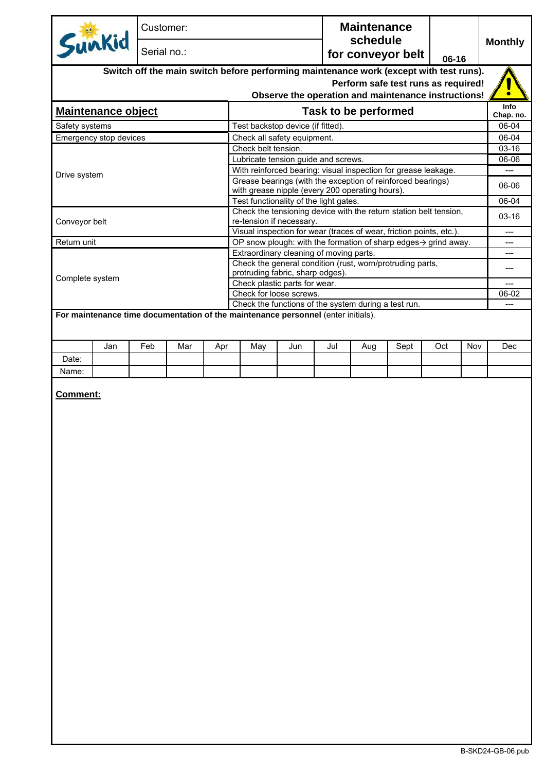| Sunkid<br>Serial no.:<br>for conveyor belt<br>06-16<br>Switch off the main switch before performing maintenance work (except with test runs).<br>Perform safe test runs as required!<br>Observe the operation and maintenance instructions!<br>Task to be performed<br><b>Maintenance object</b><br>Test backstop device (if fitted).<br>Safety systems<br>Emergency stop devices<br>Check all safety equipment.<br>Check belt tension.<br>Lubricate tension guide and screws.<br>With reinforced bearing: visual inspection for grease leakage.<br>Drive system<br>Grease bearings (with the exception of reinforced bearings)<br>with grease nipple (every 200 operating hours).<br>Test functionality of the light gates.<br>Check the tensioning device with the return station belt tension,<br>Conveyor belt<br>re-tension if necessary.<br>Visual inspection for wear (traces of wear, friction points, etc.).<br>Return unit<br>OP snow plough: with the formation of sharp edges $\rightarrow$ grind away.<br>Extraordinary cleaning of moving parts.<br>Check the general condition (rust, worn/protruding parts,<br>protruding fabric, sharp edges).<br>Complete system<br>Check plastic parts for wear.<br>Check for loose screws.<br>Check the functions of the system during a test run.<br>For maintenance time documentation of the maintenance personnel (enter initials).<br>Jan<br>Feb<br>Mar<br>Jun<br>Jul<br>Sept<br>Oct<br>Nov<br>Apr<br>May<br>Aug<br>Date:<br>Name:<br><b>Comment:</b> | Info<br>Chap. no.<br>06-04<br>06-06<br>$06 - 04$<br>---<br>---<br>---<br>$---$<br>06-02<br>Dec |  | Customer: |  |  |  |  | <b>Maintenance</b><br>schedule |  |  |  |                |
|----------------------------------------------------------------------------------------------------------------------------------------------------------------------------------------------------------------------------------------------------------------------------------------------------------------------------------------------------------------------------------------------------------------------------------------------------------------------------------------------------------------------------------------------------------------------------------------------------------------------------------------------------------------------------------------------------------------------------------------------------------------------------------------------------------------------------------------------------------------------------------------------------------------------------------------------------------------------------------------------------------------------------------------------------------------------------------------------------------------------------------------------------------------------------------------------------------------------------------------------------------------------------------------------------------------------------------------------------------------------------------------------------------------------------------------------------------------------------------------------------------------|------------------------------------------------------------------------------------------------|--|-----------|--|--|--|--|--------------------------------|--|--|--|----------------|
|                                                                                                                                                                                                                                                                                                                                                                                                                                                                                                                                                                                                                                                                                                                                                                                                                                                                                                                                                                                                                                                                                                                                                                                                                                                                                                                                                                                                                                                                                                                |                                                                                                |  |           |  |  |  |  |                                |  |  |  | <b>Monthly</b> |
|                                                                                                                                                                                                                                                                                                                                                                                                                                                                                                                                                                                                                                                                                                                                                                                                                                                                                                                                                                                                                                                                                                                                                                                                                                                                                                                                                                                                                                                                                                                |                                                                                                |  |           |  |  |  |  |                                |  |  |  |                |
|                                                                                                                                                                                                                                                                                                                                                                                                                                                                                                                                                                                                                                                                                                                                                                                                                                                                                                                                                                                                                                                                                                                                                                                                                                                                                                                                                                                                                                                                                                                |                                                                                                |  |           |  |  |  |  |                                |  |  |  |                |
|                                                                                                                                                                                                                                                                                                                                                                                                                                                                                                                                                                                                                                                                                                                                                                                                                                                                                                                                                                                                                                                                                                                                                                                                                                                                                                                                                                                                                                                                                                                |                                                                                                |  |           |  |  |  |  |                                |  |  |  |                |
|                                                                                                                                                                                                                                                                                                                                                                                                                                                                                                                                                                                                                                                                                                                                                                                                                                                                                                                                                                                                                                                                                                                                                                                                                                                                                                                                                                                                                                                                                                                |                                                                                                |  |           |  |  |  |  |                                |  |  |  |                |
|                                                                                                                                                                                                                                                                                                                                                                                                                                                                                                                                                                                                                                                                                                                                                                                                                                                                                                                                                                                                                                                                                                                                                                                                                                                                                                                                                                                                                                                                                                                |                                                                                                |  |           |  |  |  |  |                                |  |  |  |                |
|                                                                                                                                                                                                                                                                                                                                                                                                                                                                                                                                                                                                                                                                                                                                                                                                                                                                                                                                                                                                                                                                                                                                                                                                                                                                                                                                                                                                                                                                                                                |                                                                                                |  |           |  |  |  |  |                                |  |  |  | 06-04          |
|                                                                                                                                                                                                                                                                                                                                                                                                                                                                                                                                                                                                                                                                                                                                                                                                                                                                                                                                                                                                                                                                                                                                                                                                                                                                                                                                                                                                                                                                                                                |                                                                                                |  |           |  |  |  |  |                                |  |  |  | $03-16$        |
|                                                                                                                                                                                                                                                                                                                                                                                                                                                                                                                                                                                                                                                                                                                                                                                                                                                                                                                                                                                                                                                                                                                                                                                                                                                                                                                                                                                                                                                                                                                |                                                                                                |  |           |  |  |  |  |                                |  |  |  | 06-06          |
|                                                                                                                                                                                                                                                                                                                                                                                                                                                                                                                                                                                                                                                                                                                                                                                                                                                                                                                                                                                                                                                                                                                                                                                                                                                                                                                                                                                                                                                                                                                |                                                                                                |  |           |  |  |  |  |                                |  |  |  |                |
|                                                                                                                                                                                                                                                                                                                                                                                                                                                                                                                                                                                                                                                                                                                                                                                                                                                                                                                                                                                                                                                                                                                                                                                                                                                                                                                                                                                                                                                                                                                |                                                                                                |  |           |  |  |  |  |                                |  |  |  |                |
|                                                                                                                                                                                                                                                                                                                                                                                                                                                                                                                                                                                                                                                                                                                                                                                                                                                                                                                                                                                                                                                                                                                                                                                                                                                                                                                                                                                                                                                                                                                |                                                                                                |  |           |  |  |  |  |                                |  |  |  |                |
|                                                                                                                                                                                                                                                                                                                                                                                                                                                                                                                                                                                                                                                                                                                                                                                                                                                                                                                                                                                                                                                                                                                                                                                                                                                                                                                                                                                                                                                                                                                |                                                                                                |  |           |  |  |  |  |                                |  |  |  |                |
|                                                                                                                                                                                                                                                                                                                                                                                                                                                                                                                                                                                                                                                                                                                                                                                                                                                                                                                                                                                                                                                                                                                                                                                                                                                                                                                                                                                                                                                                                                                |                                                                                                |  |           |  |  |  |  |                                |  |  |  | $03-16$        |
|                                                                                                                                                                                                                                                                                                                                                                                                                                                                                                                                                                                                                                                                                                                                                                                                                                                                                                                                                                                                                                                                                                                                                                                                                                                                                                                                                                                                                                                                                                                |                                                                                                |  |           |  |  |  |  |                                |  |  |  |                |
|                                                                                                                                                                                                                                                                                                                                                                                                                                                                                                                                                                                                                                                                                                                                                                                                                                                                                                                                                                                                                                                                                                                                                                                                                                                                                                                                                                                                                                                                                                                |                                                                                                |  |           |  |  |  |  |                                |  |  |  |                |
|                                                                                                                                                                                                                                                                                                                                                                                                                                                                                                                                                                                                                                                                                                                                                                                                                                                                                                                                                                                                                                                                                                                                                                                                                                                                                                                                                                                                                                                                                                                |                                                                                                |  |           |  |  |  |  |                                |  |  |  |                |
|                                                                                                                                                                                                                                                                                                                                                                                                                                                                                                                                                                                                                                                                                                                                                                                                                                                                                                                                                                                                                                                                                                                                                                                                                                                                                                                                                                                                                                                                                                                |                                                                                                |  |           |  |  |  |  |                                |  |  |  |                |
|                                                                                                                                                                                                                                                                                                                                                                                                                                                                                                                                                                                                                                                                                                                                                                                                                                                                                                                                                                                                                                                                                                                                                                                                                                                                                                                                                                                                                                                                                                                |                                                                                                |  |           |  |  |  |  |                                |  |  |  |                |
|                                                                                                                                                                                                                                                                                                                                                                                                                                                                                                                                                                                                                                                                                                                                                                                                                                                                                                                                                                                                                                                                                                                                                                                                                                                                                                                                                                                                                                                                                                                |                                                                                                |  |           |  |  |  |  |                                |  |  |  |                |
|                                                                                                                                                                                                                                                                                                                                                                                                                                                                                                                                                                                                                                                                                                                                                                                                                                                                                                                                                                                                                                                                                                                                                                                                                                                                                                                                                                                                                                                                                                                |                                                                                                |  |           |  |  |  |  |                                |  |  |  |                |
|                                                                                                                                                                                                                                                                                                                                                                                                                                                                                                                                                                                                                                                                                                                                                                                                                                                                                                                                                                                                                                                                                                                                                                                                                                                                                                                                                                                                                                                                                                                |                                                                                                |  |           |  |  |  |  |                                |  |  |  |                |
|                                                                                                                                                                                                                                                                                                                                                                                                                                                                                                                                                                                                                                                                                                                                                                                                                                                                                                                                                                                                                                                                                                                                                                                                                                                                                                                                                                                                                                                                                                                |                                                                                                |  |           |  |  |  |  |                                |  |  |  |                |
|                                                                                                                                                                                                                                                                                                                                                                                                                                                                                                                                                                                                                                                                                                                                                                                                                                                                                                                                                                                                                                                                                                                                                                                                                                                                                                                                                                                                                                                                                                                |                                                                                                |  |           |  |  |  |  |                                |  |  |  |                |
|                                                                                                                                                                                                                                                                                                                                                                                                                                                                                                                                                                                                                                                                                                                                                                                                                                                                                                                                                                                                                                                                                                                                                                                                                                                                                                                                                                                                                                                                                                                |                                                                                                |  |           |  |  |  |  |                                |  |  |  |                |
|                                                                                                                                                                                                                                                                                                                                                                                                                                                                                                                                                                                                                                                                                                                                                                                                                                                                                                                                                                                                                                                                                                                                                                                                                                                                                                                                                                                                                                                                                                                |                                                                                                |  |           |  |  |  |  |                                |  |  |  |                |
|                                                                                                                                                                                                                                                                                                                                                                                                                                                                                                                                                                                                                                                                                                                                                                                                                                                                                                                                                                                                                                                                                                                                                                                                                                                                                                                                                                                                                                                                                                                |                                                                                                |  |           |  |  |  |  |                                |  |  |  |                |
|                                                                                                                                                                                                                                                                                                                                                                                                                                                                                                                                                                                                                                                                                                                                                                                                                                                                                                                                                                                                                                                                                                                                                                                                                                                                                                                                                                                                                                                                                                                |                                                                                                |  |           |  |  |  |  |                                |  |  |  |                |
|                                                                                                                                                                                                                                                                                                                                                                                                                                                                                                                                                                                                                                                                                                                                                                                                                                                                                                                                                                                                                                                                                                                                                                                                                                                                                                                                                                                                                                                                                                                |                                                                                                |  |           |  |  |  |  |                                |  |  |  |                |
|                                                                                                                                                                                                                                                                                                                                                                                                                                                                                                                                                                                                                                                                                                                                                                                                                                                                                                                                                                                                                                                                                                                                                                                                                                                                                                                                                                                                                                                                                                                |                                                                                                |  |           |  |  |  |  |                                |  |  |  |                |
|                                                                                                                                                                                                                                                                                                                                                                                                                                                                                                                                                                                                                                                                                                                                                                                                                                                                                                                                                                                                                                                                                                                                                                                                                                                                                                                                                                                                                                                                                                                |                                                                                                |  |           |  |  |  |  |                                |  |  |  |                |
|                                                                                                                                                                                                                                                                                                                                                                                                                                                                                                                                                                                                                                                                                                                                                                                                                                                                                                                                                                                                                                                                                                                                                                                                                                                                                                                                                                                                                                                                                                                |                                                                                                |  |           |  |  |  |  |                                |  |  |  |                |
|                                                                                                                                                                                                                                                                                                                                                                                                                                                                                                                                                                                                                                                                                                                                                                                                                                                                                                                                                                                                                                                                                                                                                                                                                                                                                                                                                                                                                                                                                                                |                                                                                                |  |           |  |  |  |  |                                |  |  |  |                |
|                                                                                                                                                                                                                                                                                                                                                                                                                                                                                                                                                                                                                                                                                                                                                                                                                                                                                                                                                                                                                                                                                                                                                                                                                                                                                                                                                                                                                                                                                                                |                                                                                                |  |           |  |  |  |  |                                |  |  |  |                |
|                                                                                                                                                                                                                                                                                                                                                                                                                                                                                                                                                                                                                                                                                                                                                                                                                                                                                                                                                                                                                                                                                                                                                                                                                                                                                                                                                                                                                                                                                                                |                                                                                                |  |           |  |  |  |  |                                |  |  |  |                |
|                                                                                                                                                                                                                                                                                                                                                                                                                                                                                                                                                                                                                                                                                                                                                                                                                                                                                                                                                                                                                                                                                                                                                                                                                                                                                                                                                                                                                                                                                                                |                                                                                                |  |           |  |  |  |  |                                |  |  |  |                |
|                                                                                                                                                                                                                                                                                                                                                                                                                                                                                                                                                                                                                                                                                                                                                                                                                                                                                                                                                                                                                                                                                                                                                                                                                                                                                                                                                                                                                                                                                                                |                                                                                                |  |           |  |  |  |  |                                |  |  |  |                |